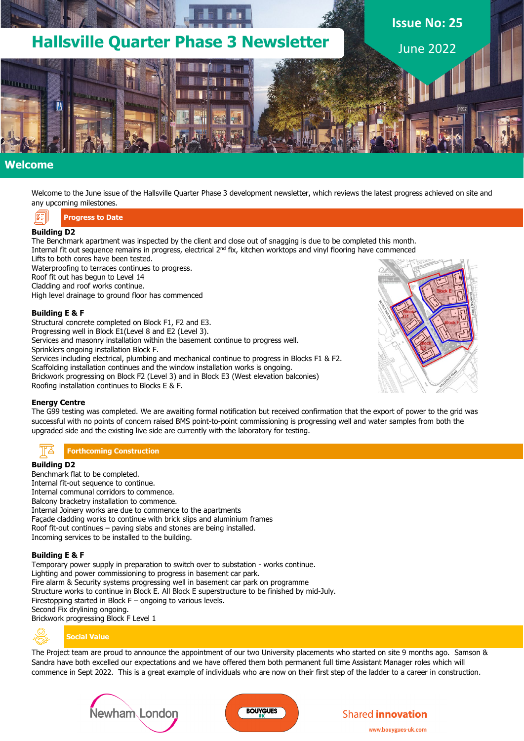

## **Welcome**

Welcome to the June issue of the Hallsville Quarter Phase 3 development newsletter, which reviews the latest progress achieved on site and any upcoming milestones.

**Progress to Date**

### **Building D2**

The Benchmark apartment was inspected by the client and close out of snagging is due to be completed this month. Internal fit out sequence remains in progress, electrical 2<sup>nd</sup> fix, kitchen worktops and vinyl flooring have commenced Lifts to both cores have been tested.

Waterproofing to terraces continues to progress.

Roof fit out has begun to Level 14

Cladding and roof works continue.

High level drainage to ground floor has commenced

#### **Building E & F**

Structural concrete completed on Block F1, F2 and E3. Progressing well in Block E1(Level 8 and E2 (Level 3). Services and masonry installation within the basement continue to progress well. Sprinklers ongoing installation Block F. Services including electrical, plumbing and mechanical continue to progress in Blocks F1 & F2. Scaffolding installation continues and the window installation works is ongoing. Brickwork progressing on Block F2 (Level 3) and in Block E3 (West elevation balconies) Roofing installation continues to Blocks E & F.

### **Energy Centre**

The G99 testing was completed. We are awaiting formal notification but received confirmation that the export of power to the grid was successful with no points of concern raised BMS point-to-point commissioning is progressing well and water samples from both the upgraded side and the existing live side are currently with the laboratory for testing.

**Forthcoming Construction**

### **Building D2**

Benchmark flat to be completed. Internal fit-out sequence to continue. Internal communal corridors to commence. Balcony bracketry installation to commence. Internal Joinery works are due to commence to the apartments Façade cladding works to continue with brick slips and aluminium frames Roof fit-out continues – paving slabs and stones are being installed. Incoming services to be installed to the building.

#### **Building E & F**

Temporary power supply in preparation to switch over to substation - works continue. Lighting and power commissioning to progress in basement car park. Fire alarm & Security systems progressing well in basement car park on programme Structure works to continue in Block E. All Block E superstructure to be finished by mid-July. Firestopping started in Block F – ongoing to various levels. Second Fix drylining ongoing.

Brickwork progressing Block F Level 1



## **Social Value**

The Project team are proud to announce the appointment of our two University placements who started on site 9 months ago. Samson & Sandra have both excelled our expectations and we have offered them both permanent full time Assistant Manager roles which will commence in Sept 2022. This is a great example of individuals who are now on their first step of the ladder to a career in construction.







## **Shared innovation**

www.bouvgues-uk.com